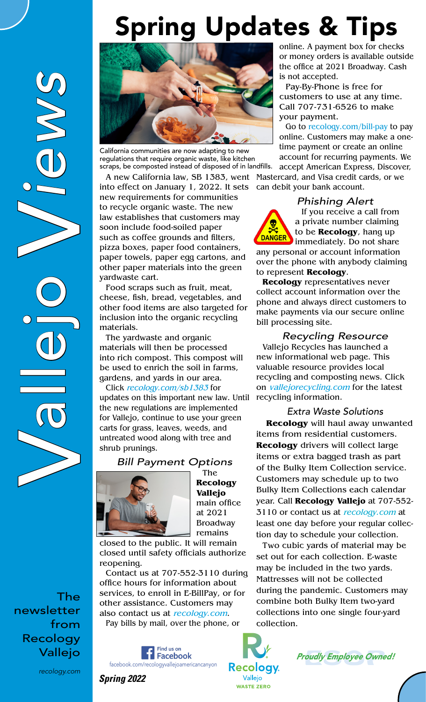## Spring Updates & Tips

V allejo *iews*



V

*recology.com*



California communities are now adapting to new regulations that require organic waste, like kitchen scraps, be composted instead of disposed of in landfills.

A new California law, SB 1383, went into effect on January 1, 2022. It sets new requirements for communities to recycle organic waste. The new law establishes that customers may soon include food-soiled paper such as coffee grounds and filters, pizza boxes, paper food containers, paper towels, paper egg cartons, and other paper materials into the green yardwaste cart.

Food scraps such as fruit, meat, cheese, fish, bread, vegetables, and other food items are also targeted for inclusion into the organic recycling materials.

The yardwaste and organic materials will then be processed into rich compost. This compost will be used to enrich the soil in farms, gardens, and yards in our area.

Click recology.com/sb1383 for updates on this important new law. Until the new regulations are implemented for Vallejo, continue to use your green carts for grass, leaves, weeds, and untreated wood along with tree and shrub prunings.

*Bill Payment Options*



The **Recology Vallejo** main office at 2021 Broadway remains

closed to the public. It will remain closed until safety officials authorize reopening.

Contact us at 707-552-3110 during office hours for information about services, to enroll in E-BillPay, or for other assistance. Customers may also contact us at recology.com. Pay bills by mail, over the phone, or

Find us on Facebook facebook.com/recologyvallejoamericancanyon

*Spring 2022*

online. A payment box for checks or money orders is available outside the office at 2021 Broadway. Cash is not accepted.

Pay-By-Phone is free for customers to use at any time. Call 707-731-6526 to make your payment.

Go to recology.com/bill-pay to pay online. Customers may make a onetime payment or create an online account for recurring payments. We accept American Express, Discover, Mastercard, and Visa credit cards, or we can debit your bank account.

#### *Phishing Alert*

DANGER

If you receive a call from a private number claiming to be **Recology**, hang up immediately. Do not share

any personal or account information over the phone with anybody claiming to represent **Recology**.

**Recology** representatives never collect account information over the phone and always direct customers to make payments via our secure online bill processing site.

*Recycling Resource* Vallejo Recycles has launched a new informational web page. This valuable resource provides local recycling and composting news. Click on vallejorecycling.com for the latest recycling information.

*Extra Waste Solutions* **Recology** will haul away unwanted items from residential customers. **Recology** drivers will collect large items or extra bagged trash as part of the Bulky Item Collection service. Customers may schedule up to two Bulky Item Collections each calendar year. Call **Recology Vallejo** at 707-552- 3110 or contact us at recology.com at least one day before your regular collection day to schedule your collection.

Two cubic yards of material may be set out for each collection. E-waste may be included in the two yards. Mattresses will not be collected during the pandemic. Customers may combine both Bulky Item two-yard collections into one single four-yard collection.